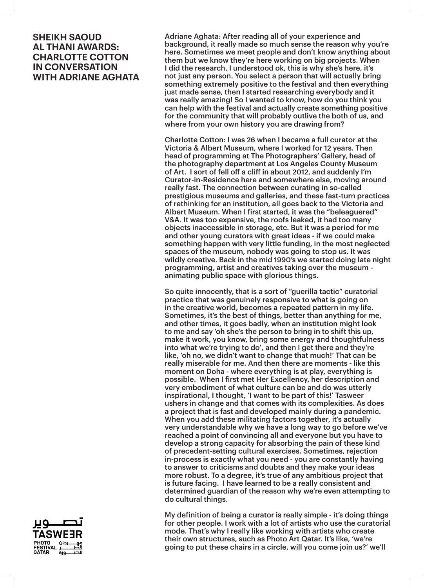Adriane Aghata: After reading all of your experience and background, it really made so much sense the reason why you're here. Sometimes we meet people and don't know anything about them but we know they're here working on big projects. When I did the research, I understood ok, this is why she's here, it's not just any person. You select a person that will actually bring something extremely positive to the festival and then everything just made sense, then I started researching everybody and it was really amazing! So I wanted to know, how do you think you can help with the festival and actually create something positive for the community that will probably outlive the both of us, and where from your own history you are drawing from?

Charlotte Cotton: I was 26 when I became a full curator at the Victoria & Albert Museum, where I worked for 12 years. Then head of programming at The Photographers' Gallery, head of the photography department at Los Angeles County Museum of Art. I sort of fell off a cliff in about 2012, and suddenly I'm Curator-in-Residence here and somewhere else, moving around really fast. The connection between curating in so-called prestigious museums and galleries, and these fast-turn practices of rethinking for an institution, all goes back to the Victoria and Albert Museum. When I first started, it was the "beleaguered" V&A. It was too expensive, the roofs leaked, it had too many objects inaccessible in storage, etc. But it was a period for me and other young curators with great ideas - if we could make something happen with very little funding, in the most neglected spaces of the museum, nobody was going to stop us. It was wildly creative. Back in the mid 1990's we started doing late night programming, artist and creatives taking over the museum animating public space with glorious things.

So quite innocently, that is a sort of "guerilla tactic" curatorial practice that was genuinely responsive to what is going on in the creative world, becomes a repeated pattern in my life. Sometimes, it's the best of things, better than anything for me, and other times, it goes badly, when an institution might look to me and say 'oh she's the person to bring in to shift this up, make it work, you know, bring some energy and thoughtfulness into what we're trying to do', and then I get there and they're like, 'oh no, we didn't want to change that much!' That can be really miserable for me. And then there are moments - like this moment on Doha - where everything is at play, everything is possible. When I first met Her Excellency, her description and very embodiment of what culture can be and do was utterly inspirational, I thought, 'I want to be part of this!' Tasweer ushers in change and that comes with its complexities. As does a project that is fast and developed mainly during a pandemic. When you add these militating factors together, it's actually very understandable why we have a long way to go before we've reached a point of convincing all and everyone but you have to develop a strong capacity for absorbing the pain of these kind of precedent-setting cultural exercises. Sometimes, rejection in-process is exactly what you need - you are constantly having to answer to criticisms and doubts and they make your ideas more robust. To a degree, it's true of any ambitious project that is future facing. I have learned to be a really consistent and determined guardian of the reason why we're even attempting to do cultural things.

My definition of being a curator is really simple - it's doing things for other people. I work with a lot of artists who use the curatorial mode. That's why I really like working with artists who create their own structures, such as Photo Art Qatar. It's like, 'we're going to put these chairs in a circle, will you come join us?' we'll

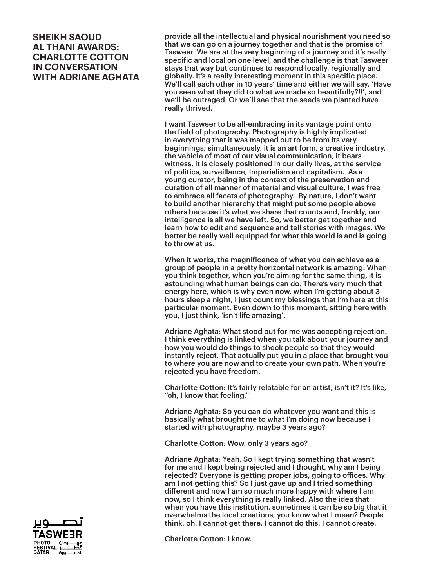provide all the intellectual and physical nourishment you need so that we can go on a journey together and that is the promise of Tasweer. We are at the very beginning of a journey and it's really specific and local on one level, and the challenge is that Tasweer stays that way but continues to respond locally, regionally and globally. It's a really interesting moment in this specific place. We'll call each other in 10 years' time and either we will say, 'Have you seen what they did to what we made so beautifully?!!', and we'll be outraged. Or we'll see that the seeds we planted have really thrived.

I want Tasweer to be all-embracing in its vantage point onto the field of photography. Photography is highly implicated in everything that it was mapped out to be from its very beginnings; simultaneously, it is an art form, a creative industry, the vehicle of most of our visual communication, it bears witness, it is closely positioned in our daily lives, at the service of politics, surveillance, Imperialism and capitalism. As a young curator, being in the context of the preservation and curation of all manner of material and visual culture, I was free to embrace all facets of photography. By nature, I don't want to build another hierarchy that might put some people above others because it's what we share that counts and, frankly, our intelligence is all we have left. So, we better get together and learn how to edit and sequence and tell stories with images. We better be really well equipped for what this world is and is going to throw at us.

When it works, the magnificence of what you can achieve as a group of people in a pretty horizontal network is amazing. When you think together, when you're aiming for the same thing, it is astounding what human beings can do. There's very much that energy here, which is why even now, when I'm getting about 3 hours sleep a night, I just count my blessings that I'm here at this particular moment. Even down to this moment, sitting here with you, I just think, 'isn't life amazing'.

Adriane Aghata: What stood out for me was accepting rejection. I think everything is linked when you talk about your journey and how you would do things to shock people so that they would instantly reject. That actually put you in a place that brought you to where you are now and to create your own path. When you're rejected you have freedom.

Charlotte Cotton: It's fairly relatable for an artist, isn't it? It's like, "oh, I know that feeling."

Adriane Aghata: So you can do whatever you want and this is basically what brought me to what I'm doing now because I started with photography, maybe 3 years ago?

Charlotte Cotton: Wow, only 3 years ago?

Adriane Aghata: Yeah. So I kept trying something that wasn't for me and I kept being rejected and I thought, why am I being rejected? Everyone is getting proper jobs, going to offices. Why am I not getting this? So I just gave up and I tried something different and now I am so much more happy with where I am now, so I think everything is really linked. Also the idea that when you have this institution, sometimes it can be so big that it overwhelms the local creations, you know what I mean? People think, oh, I cannot get there. I cannot do this. I cannot create.

Charlotte Cotton: I know.

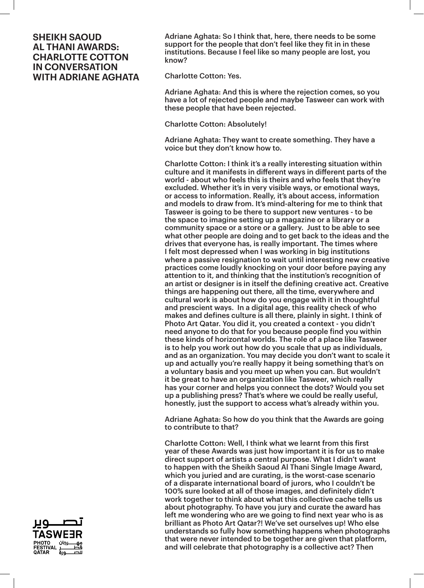Adriane Aghata: So I think that, here, there needs to be some support for the people that don't feel like they fit in in these institutions. Because I feel like so many people are lost, you know?

Charlotte Cotton: Yes.

Adriane Aghata: And this is where the rejection comes, so you have a lot of rejected people and maybe Tasweer can work with these people that have been rejected.

Charlotte Cotton: Absolutely!

Adriane Aghata: They want to create something. They have a voice but they don't know how to.

Charlotte Cotton: I think it's a really interesting situation within culture and it manifests in different ways in different parts of the world - about who feels this is theirs and who feels that they're excluded. Whether it's in very visible ways, or emotional ways, or access to information. Really, it's about access, information and models to draw from. It's mind-altering for me to think that Tasweer is going to be there to support new ventures - to be the space to imagine setting up a magazine or a library or a community space or a store or a gallery. Just to be able to see what other people are doing and to get back to the ideas and the drives that everyone has, is really important. The times where I felt most depressed when I was working in big institutions where a passive resignation to wait until interesting new creative practices come loudly knocking on your door before paying any attention to it, and thinking that the institution's recognition of an artist or designer is in itself the defining creative act. Creative things are happening out there, all the time, everywhere and cultural work is about how do you engage with it in thoughtful and prescient ways. In a digital age, this reality check of who makes and defines culture is all there, plainly in sight. I think of Photo Art Qatar. You did it, you created a context - you didn't need anyone to do that for you because people find you within these kinds of horizontal worlds. The role of a place like Tasweer is to help you work out how do you scale that up as individuals, and as an organization. You may decide you don't want to scale it up and actually you're really happy it being something that's on a voluntary basis and you meet up when you can. But wouldn't it be great to have an organization like Tasweer, which really has your corner and helps you connect the dots? Would you set up a publishing press? That's where we could be really useful, honestly, just the support to access what's already within you.

Adriane Aghata: So how do you think that the Awards are going to contribute to that?

Charlotte Cotton: Well, I think what we learnt from this first year of these Awards was just how important it is for us to make direct support of artists a central purpose. What I didn't want to happen with the Sheikh Saoud Al Thani Single Image Award, which you juried and are curating, is the worst-case scenario of a disparate international board of jurors, who I couldn't be 100% sure looked at all of those images, and definitely didn't work together to think about what this collective cache tells us about photography. To have you jury and curate the award has left me wondering who are we going to find next year who is as brilliant as Photo Art Qatar?! We've set ourselves up! Who else understands so fully how something happens when photographs that were never intended to be together are given that platform, and will celebrate that photography is a collective act? Then

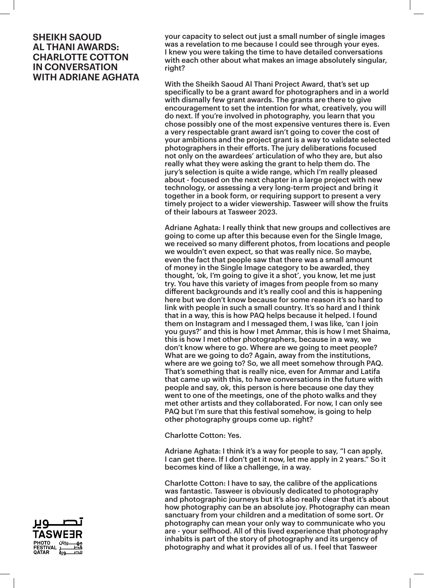your capacity to select out just a small number of single images was a revelation to me because I could see through your eyes. I knew you were taking the time to have detailed conversations with each other about what makes an image absolutely singular, right?

With the Sheikh Saoud Al Thani Project Award, that's set up specifically to be a grant award for photographers and in a world with dismally few grant awards. The grants are there to give encouragement to set the intention for what, creatively, you will do next. If you're involved in photography, you learn that you chose possibly one of the most expensive ventures there is. Even a very respectable grant award isn't going to cover the cost of your ambitions and the project grant is a way to validate selected photographers in their efforts. The jury deliberations focused not only on the awardees' articulation of who they are, but also really what they were asking the grant to help them do. The jury's selection is quite a wide range, which I'm really pleased about - focused on the next chapter in a large project with new technology, or assessing a very long-term project and bring it together in a book form, or requiring support to present a very timely project to a wider viewership. Tasweer will show the fruits of their labours at Tasweer 2023.

Adriane Aghata: I really think that new groups and collectives are going to come up after this because even for the Single Image, we received so many different photos, from locations and people we wouldn't even expect, so that was really nice. So maybe, even the fact that people saw that there was a small amount of money in the Single Image category to be awarded, they thought, 'ok, I'm going to give it a shot', you know, let me just try. You have this variety of images from people from so many different backgrounds and it's really cool and this is happening here but we don't know because for some reason it's so hard to link with people in such a small country. It's so hard and I think that in a way, this is how PAQ helps because it helped. I found them on Instagram and I messaged them, I was like, 'can I join you guys?' and this is how I met Ammar, this is how I met Shaima, this is how I met other photographers, because in a way, we don't know where to go. Where are we going to meet people? What are we going to do? Again, away from the institutions, where are we going to? So, we all meet somehow through PAQ. That's something that is really nice, even for Ammar and Latifa that came up with this, to have conversations in the future with people and say, ok, this person is here because one day they went to one of the meetings, one of the photo walks and they met other artists and they collaborated. For now, I can only see PAQ but I'm sure that this festival somehow, is going to help other photography groups come up. right?

Charlotte Cotton: Yes.

Adriane Aghata: I think it's a way for people to say, "I can apply, I can get there. If I don't get it now, let me apply in 2 years." So it becomes kind of like a challenge, in a way.

Charlotte Cotton: I have to say, the calibre of the applications was fantastic. Tasweer is obviously dedicated to photography and photographic journeys but it's also really clear that it's about how photography can be an absolute joy. Photography can mean sanctuary from your children and a meditation of some sort. Or photography can mean your only way to communicate who you are - your selfhood. All of this lived experience that photography inhabits is part of the story of photography and its urgency of photography and what it provides all of us. I feel that Tasweer